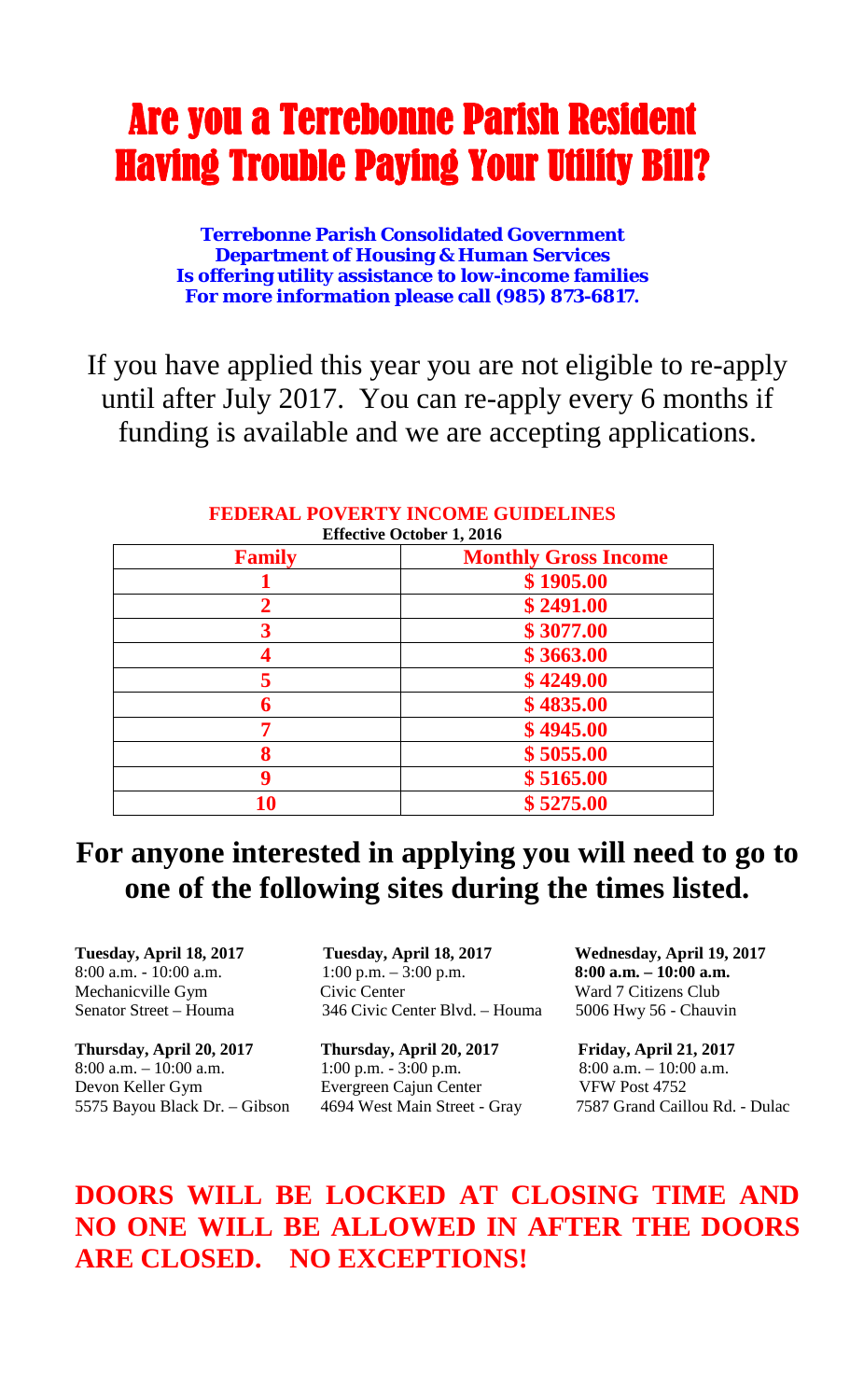## Are you a Terrebonne Parish Resident Having Trouble Paying Your Utility Bill?

**Terrebonne Parish Consolidated Government Department of Housing & Human Services Is offering utility assistance to low-income families For more information please call (985) 873-6817.**

If you have applied this year you are not eligible to re-apply until after July 2017. You can re-apply every 6 months if funding is available and we are accepting applications.

| <b>FEDERAL POVERTY INCOME GUIDELINES</b> |
|------------------------------------------|
| <b>Effective October 1, 2016</b>         |

| <b>Family</b> | <b>Monthly Gross Income</b> |
|---------------|-----------------------------|
|               | \$1905.00                   |
| 2             | \$2491.00                   |
| 3             | \$3077.00                   |
| 4             | \$3663.00                   |
|               | \$4249.00                   |
| 6             | \$4835.00                   |
| 7             | \$4945.00                   |
| 8             | \$5055.00                   |
| 9             | \$5165.00                   |
| 10            | \$5275.00                   |

## **For anyone interested in applying you will need to go to one of the following sites during the times listed.**

**Thursday, April 20, 2017 Thursday, April 20, 2017 Friday, April 21, 2017**  8:00 a.m.  $-10:00$  a.m.  $1:00$  p.m.  $-3:00$  p.m.  $8:00$  a.m.  $-10:00$  a.m. Devon Keller Gym Evergreen Cajun Center VFW Post 4752 5575 Bayou Black Dr. – Gibson 4694 West Main Street - Gray 7587 Grand Caillou Rd. - Dulac

**Tuesday, April 18, 2017 Tuesday, April 18, 2017 Wednesday, April 19, 2017** 8:00 a.m. - 10:00 a.m. 1:00 p.m. – 3:00 p.m. **8:00 a.m. – 10:00 a.m.** Mechanicville Gym Civic Center Ward 7 Citizens Club<br>Senator Street – Houma 346 Civic Center Blvd. – Houma 5006 Hwv 56 - Chauv 346 Civic Center Blvd. – Houma 5006 Hwy 56 - Chauvin

## **DOORS WILL BE LOCKED AT CLOSING TIME AND NO ONE WILL BE ALLOWED IN AFTER THE DOORS ARE CLOSED. NO EXCEPTIONS!**